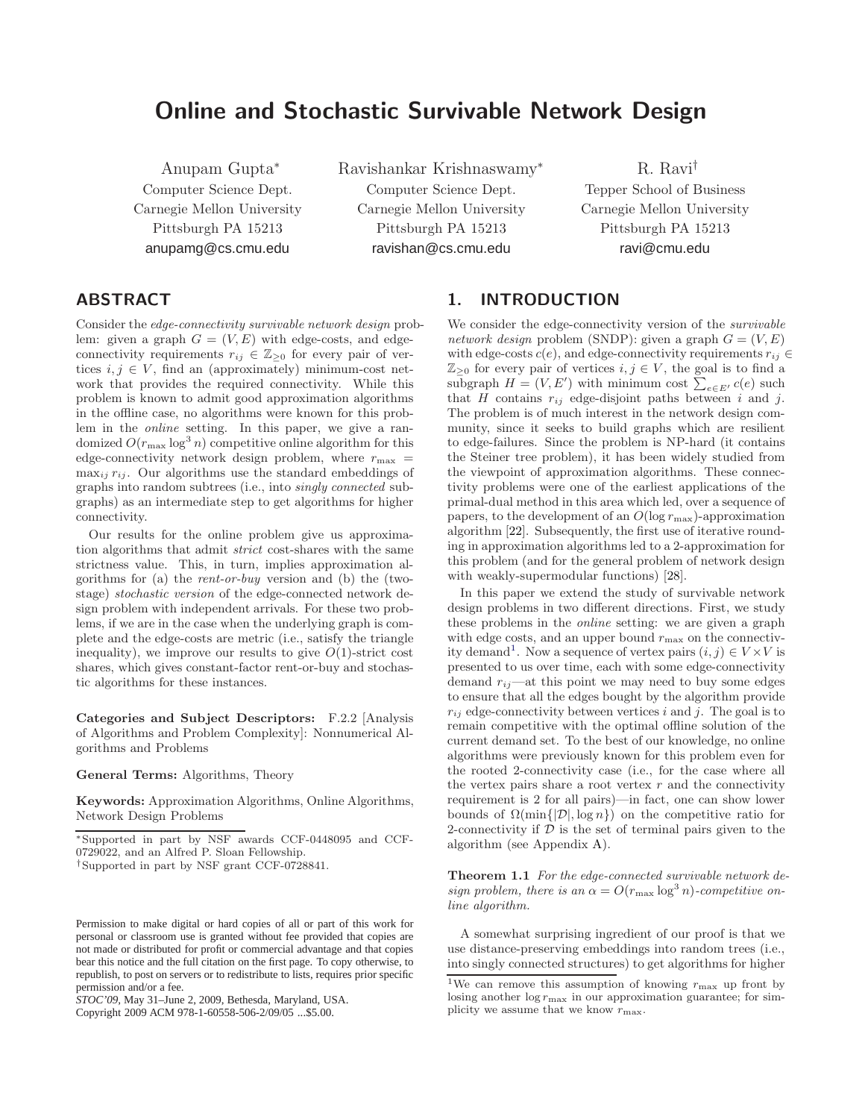# Online and Stochastic Survivable Network Design

Anupam Gupta<sup>∗</sup> Computer Science Dept. Carnegie Mellon University Pittsburgh PA 15213 anupamg@cs.cmu.edu

Ravishankar Krishnaswamy<sup>∗</sup> Computer Science Dept. Carnegie Mellon University Pittsburgh PA 15213 ravishan@cs.cmu.edu

R. Ravi† Tepper School of Business Carnegie Mellon University Pittsburgh PA 15213 ravi@cmu.edu

# ABSTRACT

Consider the edge-connectivity survivable network design problem: given a graph  $G = (V, E)$  with edge-costs, and edgeconnectivity requirements  $r_{ij} \in \mathbb{Z}_{\geq 0}$  for every pair of vertices  $i, j \in V$ , find an (approximately) minimum-cost network that provides the required connectivity. While this problem is known to admit good approximation algorithms in the offline case, no algorithms were known for this problem in the online setting. In this paper, we give a randomized  $O(r_{\text{max}} \log^3 n)$  competitive online algorithm for this edge-connectivity network design problem, where  $r_{\text{max}} =$  $\max_{ij} r_{ij}$ . Our algorithms use the standard embeddings of graphs into random subtrees (i.e., into singly connected subgraphs) as an intermediate step to get algorithms for higher connectivity.

Our results for the online problem give us approximation algorithms that admit strict cost-shares with the same strictness value. This, in turn, implies approximation algorithms for (a) the rent-or-buy version and (b) the (twostage) stochastic version of the edge-connected network design problem with independent arrivals. For these two problems, if we are in the case when the underlying graph is complete and the edge-costs are metric (i.e., satisfy the triangle inequality), we improve our results to give  $O(1)$ -strict cost shares, which gives constant-factor rent-or-buy and stochastic algorithms for these instances.

Categories and Subject Descriptors: F.2.2 [Analysis of Algorithms and Problem Complexity]: Nonnumerical Algorithms and Problems

#### General Terms: Algorithms, Theory

Keywords: Approximation Algorithms, Online Algorithms, Network Design Problems

Copyright 2009 ACM 978-1-60558-506-2/09/05 ...\$5.00.

# 1. INTRODUCTION

We consider the edge-connectivity version of the *survivable* network design problem (SNDP): given a graph  $G = (V, E)$ with edge-costs  $c(e)$ , and edge-connectivity requirements  $r_{ij} \in$  $\mathbb{Z}_{\geq 0}$  for every pair of vertices  $i, j \in V$ , the goal is to find a subgraph  $H = (V, E')$  with minimum cost  $\sum_{e \in E'}^{\infty} c(e)$  such that H contains  $r_{ij}$  edge-disjoint paths between i and j. The problem is of much interest in the network design community, since it seeks to build graphs which are resilient to edge-failures. Since the problem is NP-hard (it contains the Steiner tree problem), it has been widely studied from the viewpoint of approximation algorithms. These connectivity problems were one of the earliest applications of the primal-dual method in this area which led, over a sequence of papers, to the development of an  $O(\log r_{\max})$ -approximation algorithm [22]. Subsequently, the first use of iterative rounding in approximation algorithms led to a 2-approximation for this problem (and for the general problem of network design with weakly-supermodular functions) [28].

In this paper we extend the study of survivable network design problems in two different directions. First, we study these problems in the online setting: we are given a graph with edge costs, and an upper bound  $r_{\text{max}}$  on the connectivity demand<sup>1</sup>. Now a sequence of vertex pairs  $(i, j) \in V \times V$  is presented to us over time, each with some edge-connectivity demand  $r_{ij}$ —at this point we may need to buy some edges to ensure that all the edges bought by the algorithm provide  $r_{ij}$  edge-connectivity between vertices i and j. The goal is to remain competitive with the optimal offline solution of the current demand set. To the best of our knowledge, no online algorithms were previously known for this problem even for the rooted 2-connectivity case (i.e., for the case where all the vertex pairs share a root vertex  $r$  and the connectivity requirement is 2 for all pairs)—in fact, one can show lower bounds of  $\Omega(\min\{|\mathcal{D}|, \log n\})$  on the competitive ratio for 2-connectivity if  $D$  is the set of terminal pairs given to the algorithm (see Appendix A).

Theorem 1.1 For the edge-connected survivable network design problem, there is an  $\alpha = O(r_{\text{max}} \log^3 n)$ -competitive online algorithm.

A somewhat surprising ingredient of our proof is that we use distance-preserving embeddings into random trees (i.e., into singly connected structures) to get algorithms for higher

<sup>∗</sup>Supported in part by NSF awards CCF-0448095 and CCF-0729022, and an Alfred P. Sloan Fellowship.

<sup>†</sup>Supported in part by NSF grant CCF-0728841.

Permission to make digital or hard copies of all or part of this work for personal or classroom use is granted without fee provided that copies are not made or distributed for profit or commercial advantage and that copies bear this notice and the full citation on the first page. To copy otherwise, to republish, to post on servers or to redistribute to lists, requires prior specific permission and/or a fee.

*STOC'09,* May 31–June 2, 2009, Bethesda, Maryland, USA.

 $1$ We can remove this assumption of knowing  $r_{\text{max}}$  up front by losing another  $\log r_{\text{max}}$  in our approximation guarantee; for simplicity we assume that we know  $r_{\text{max}}$ .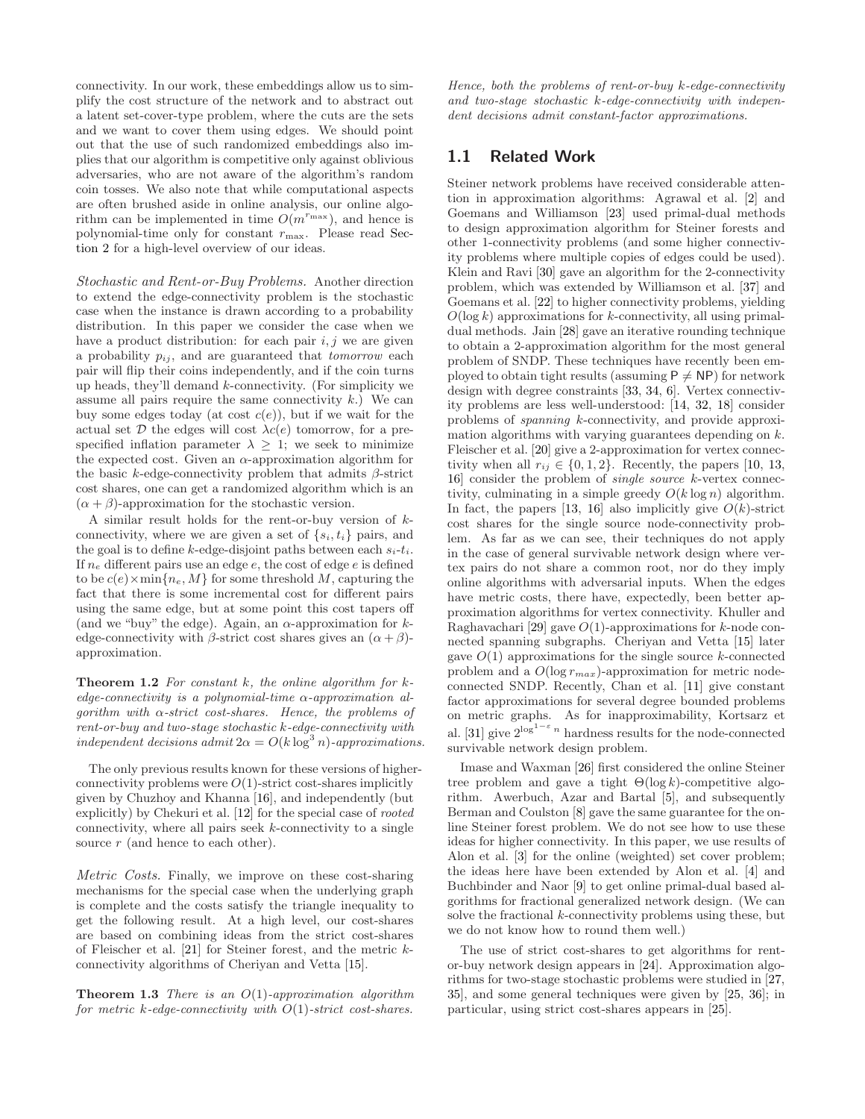connectivity. In our work, these embeddings allow us to simplify the cost structure of the network and to abstract out a latent set-cover-type problem, where the cuts are the sets and we want to cover them using edges. We should point out that the use of such randomized embeddings also implies that our algorithm is competitive only against oblivious adversaries, who are not aware of the algorithm's random coin tosses. We also note that while computational aspects are often brushed aside in online analysis, our online algorithm can be implemented in time  $O(m^{r_{\text{max}}})$ , and hence is polynomial-time only for constant  $r_{\text{max}}$ . Please read Section 2 for a high-level overview of our ideas.

Stochastic and Rent-or-Buy Problems. Another direction to extend the edge-connectivity problem is the stochastic case when the instance is drawn according to a probability distribution. In this paper we consider the case when we have a product distribution: for each pair  $i, j$  we are given a probability  $p_{ij}$ , and are guaranteed that *tomorrow* each pair will flip their coins independently, and if the coin turns up heads, they'll demand  $k$ -connectivity. (For simplicity we assume all pairs require the same connectivity  $k$ .) We can buy some edges today (at cost  $c(e)$ ), but if we wait for the actual set  $D$  the edges will cost  $\lambda c(e)$  tomorrow, for a prespecified inflation parameter  $\lambda \geq 1$ ; we seek to minimize the expected cost. Given an  $\alpha$ -approximation algorithm for the basic k-edge-connectivity problem that admits  $\beta$ -strict cost shares, one can get a randomized algorithm which is an  $(\alpha + \beta)$ -approximation for the stochastic version.

A similar result holds for the rent-or-buy version of kconnectivity, where we are given a set of  $\{s_i, t_i\}$  pairs, and the goal is to define k-edge-disjoint paths between each  $s_i-t_i$ . If  $n_e$  different pairs use an edge e, the cost of edge e is defined to be  $c(e) \times \min\{n_e, M\}$  for some threshold M, capturing the fact that there is some incremental cost for different pairs using the same edge, but at some point this cost tapers off (and we "buy" the edge). Again, an  $\alpha$ -approximation for kedge-connectivity with  $\beta$ -strict cost shares gives an  $(\alpha + \beta)$ approximation.

**Theorem 1.2** For constant  $k$ , the online algorithm for  $k$ edge-connectivity is a polynomial-time  $\alpha$ -approximation alqorithm with  $\alpha$ -strict cost-shares. Hence, the problems of rent-or-buy and two-stage stochastic k-edge-connectivity with independent decisions admit  $2\alpha = O(k \log^3 n)$ -approximations.

The only previous results known for these versions of higherconnectivity problems were  $O(1)$ -strict cost-shares implicitly given by Chuzhoy and Khanna [16], and independently (but explicitly) by Chekuri et al. [12] for the special case of rooted connectivity, where all pairs seek  $k$ -connectivity to a single source  $r$  (and hence to each other).

Metric Costs. Finally, we improve on these cost-sharing mechanisms for the special case when the underlying graph is complete and the costs satisfy the triangle inequality to get the following result. At a high level, our cost-shares are based on combining ideas from the strict cost-shares of Fleischer et al. [21] for Steiner forest, and the metric kconnectivity algorithms of Cheriyan and Vetta [15].

**Theorem 1.3** There is an  $O(1)$ -approximation algorithm for metric  $k$ -edge-connectivity with  $O(1)$ -strict cost-shares.

Hence, both the problems of rent-or-buy  $k$ -edge-connectivity and two-stage stochastic k-edge-connectivity with independent decisions admit constant-factor approximations.

## 1.1 Related Work

Steiner network problems have received considerable attention in approximation algorithms: Agrawal et al. [2] and Goemans and Williamson [23] used primal-dual methods to design approximation algorithm for Steiner forests and other 1-connectivity problems (and some higher connectivity problems where multiple copies of edges could be used). Klein and Ravi [30] gave an algorithm for the 2-connectivity problem, which was extended by Williamson et al. [37] and Goemans et al. [22] to higher connectivity problems, yielding  $O(\log k)$  approximations for k-connectivity, all using primaldual methods. Jain [28] gave an iterative rounding technique to obtain a 2-approximation algorithm for the most general problem of SNDP. These techniques have recently been employed to obtain tight results (assuming  $P \neq NP$ ) for network design with degree constraints [33, 34, 6]. Vertex connectivity problems are less well-understood: [14, 32, 18] consider problems of spanning k-connectivity, and provide approximation algorithms with varying guarantees depending on k. Fleischer et al. [20] give a 2-approximation for vertex connectivity when all  $r_{ij} \in \{0, 1, 2\}$ . Recently, the papers [10, 13, 16] consider the problem of single source k-vertex connectivity, culminating in a simple greedy  $O(k \log n)$  algorithm. In fact, the papers [13, 16] also implicitly give  $O(k)$ -strict cost shares for the single source node-connectivity problem. As far as we can see, their techniques do not apply in the case of general survivable network design where vertex pairs do not share a common root, nor do they imply online algorithms with adversarial inputs. When the edges have metric costs, there have, expectedly, been better approximation algorithms for vertex connectivity. Khuller and Raghavachari [29] gave  $O(1)$ -approximations for k-node connected spanning subgraphs. Cheriyan and Vetta [15] later gave  $O(1)$  approximations for the single source k-connected problem and a  $O(\log r_{max})$ -approximation for metric nodeconnected SNDP. Recently, Chan et al. [11] give constant factor approximations for several degree bounded problems on metric graphs. As for inapproximability, Kortsarz et al. [31] give  $2^{\log^{1-\epsilon} n}$  hardness results for the node-connected survivable network design problem.

Imase and Waxman [26] first considered the online Steiner tree problem and gave a tight  $\Theta(\log k)$ -competitive algorithm. Awerbuch, Azar and Bartal [5], and subsequently Berman and Coulston [8] gave the same guarantee for the online Steiner forest problem. We do not see how to use these ideas for higher connectivity. In this paper, we use results of Alon et al. [3] for the online (weighted) set cover problem; the ideas here have been extended by Alon et al. [4] and Buchbinder and Naor [9] to get online primal-dual based algorithms for fractional generalized network design. (We can solve the fractional  $k$ -connectivity problems using these, but we do not know how to round them well.)

The use of strict cost-shares to get algorithms for rentor-buy network design appears in [24]. Approximation algorithms for two-stage stochastic problems were studied in [27, 35], and some general techniques were given by [25, 36]; in particular, using strict cost-shares appears in [25].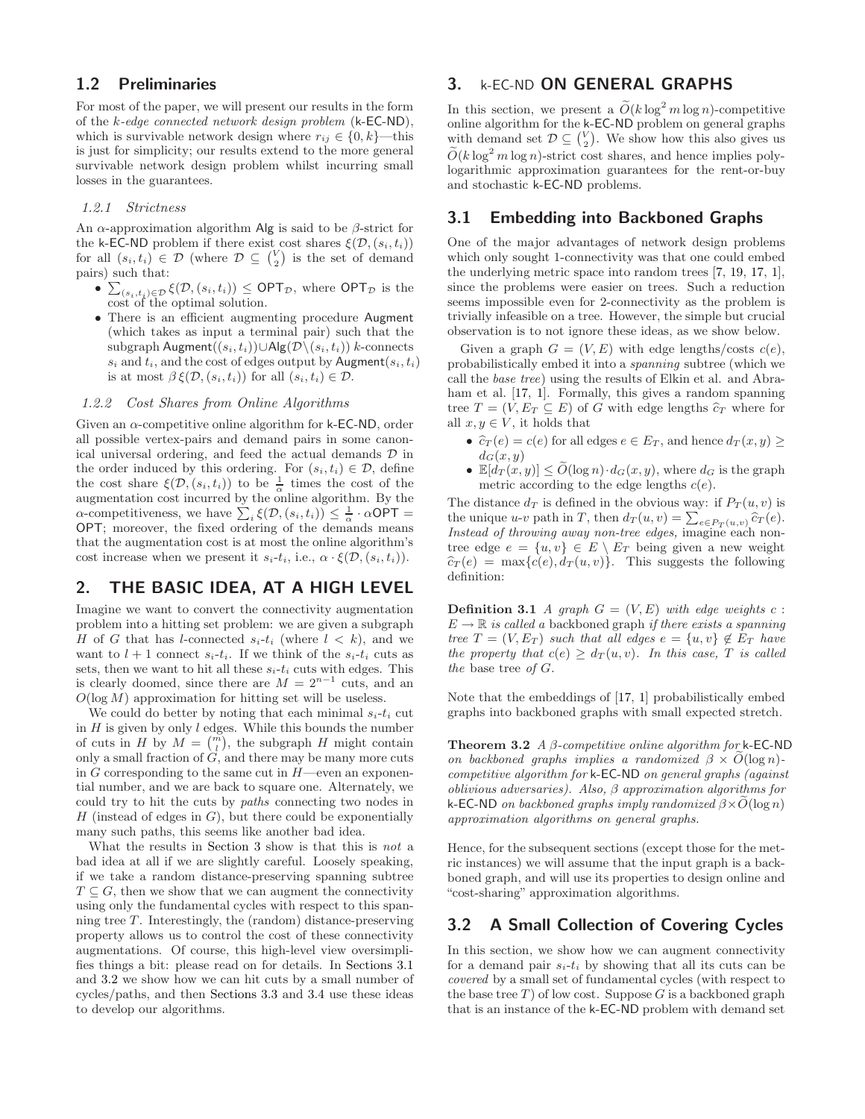## 1.2 Preliminaries

For most of the paper, we will present our results in the form of the  $k$ -edge connected network design problem  $(k$ -EC-ND), which is survivable network design where  $r_{ij} \in \{0, k\}$ —this is just for simplicity; our results extend to the more general survivable network design problem whilst incurring small losses in the guarantees.

#### 1.2.1 Strictness

An  $\alpha$ -approximation algorithm Alg is said to be  $\beta$ -strict for the k-EC-ND problem if there exist cost shares  $\xi(\mathcal{D}, (s_i, t_i))$ for all  $(s_i, t_i) \in \mathcal{D}$  (where  $\mathcal{D} \subseteq {V \choose 2}$  is the set of demand pairs) such that:

- $\sum_{(s_i,t_i)\in\mathcal{D}} \xi(\mathcal{D}, (s_i,t_i)) \leq \text{OPT}_{\mathcal{D}}$ , where  $\text{OPT}_{\mathcal{D}}$  is the cost of the optimal solution.
- There is an efficient augmenting procedure Augment (which takes as input a terminal pair) such that the subgraph Augment $((s_i, t_i))$ ∪Alg $(\mathcal{D}\setminus (s_i, t_i))$  k-connects  $s_i$  and  $t_i$ , and the cost of edges output by Augment $(s_i, t_i)$ is at most  $\beta \xi(\mathcal{D}, (s_i, t_i))$  for all  $(s_i, t_i) \in \mathcal{D}$ .

#### 1.2.2 Cost Shares from Online Algorithms

Given an  $\alpha$ -competitive online algorithm for k-**EC-ND**, order all possible vertex-pairs and demand pairs in some canonical universal ordering, and feed the actual demands  $\mathcal D$  in the order induced by this ordering. For  $(s_i, t_i) \in \mathcal{D}$ , define the cost share  $\xi(\mathcal{D}, (s_i, t_i))$  to be  $\frac{1}{\alpha}$  times the cost of the augmentation cost incurred by the online algorithm. By the  $\alpha$ -competitiveness, we have  $\sum_i \xi(\mathcal{D}, (s_i, t_i)) \leq \frac{1}{\alpha} \cdot \alpha \overline{\mathsf{OPT}} =$ OPT; moreover, the fixed ordering of the demands means that the augmentation cost is at most the online algorithm's cost increase when we present it  $s_i-t_i$ , i.e.,  $\alpha \cdot \xi(\mathcal{D}, (s_i, t_i)).$ 

# 2. THE BASIC IDEA, AT A HIGH LEVEL

Imagine we want to convert the connectivity augmentation problem into a hitting set problem: we are given a subgraph H of G that has l-connected  $s_i-t_i$  (where  $l \leq k$ ), and we want to  $l + 1$  connect  $s_i-t_i$ . If we think of the  $s_i-t_i$  cuts as sets, then we want to hit all these  $s_i-t_i$  cuts with edges. This is clearly doomed, since there are  $M = 2^{n-1}$  cuts, and an  $O(\log M)$  approximation for hitting set will be useless.

We could do better by noting that each minimal  $s_i-t_i$  cut in  $H$  is given by only  $l$  edges. While this bounds the number of cuts in H by  $M = \binom{m}{l}$ , the subgraph H might contain only a small fraction of G, and there may be many more cuts in  $G$  corresponding to the same cut in  $H$ —even an exponential number, and we are back to square one. Alternately, we could try to hit the cuts by paths connecting two nodes in  $H$  (instead of edges in  $G$ ), but there could be exponentially many such paths, this seems like another bad idea.

What the results in Section 3 show is that this is not a bad idea at all if we are slightly careful. Loosely speaking, if we take a random distance-preserving spanning subtree  $T \subseteq G$ , then we show that we can augment the connectivity using only the fundamental cycles with respect to this spanning tree T. Interestingly, the (random) distance-preserving property allows us to control the cost of these connectivity augmentations. Of course, this high-level view oversimplifies things a bit: please read on for details. In Sections 3.1 and 3.2 we show how we can hit cuts by a small number of cycles/paths, and then Sections 3.3 and 3.4 use these ideas to develop our algorithms.

# 3. k-EC-ND ON GENERAL GRAPHS

In this section, we present a  $\tilde{O}(k \log^2 m \log n)$ -competitive online algorithm for the k-EC-ND problem on general graphs with demand set  $\mathcal{D} \subseteq {V \choose 2}$ . We show how this also gives us  $\tilde{O}(k \log^2 m \log n)$ -strict cost shares, and hence implies polylogarithmic approximation guarantees for the rent-or-buy and stochastic k-EC-ND problems.

## 3.1 Embedding into Backboned Graphs

One of the major advantages of network design problems which only sought 1-connectivity was that one could embed the underlying metric space into random trees [7, 19, 17, 1], since the problems were easier on trees. Such a reduction seems impossible even for 2-connectivity as the problem is trivially infeasible on a tree. However, the simple but crucial observation is to not ignore these ideas, as we show below.

Given a graph  $G = (V, E)$  with edge lengths/costs  $c(e)$ , probabilistically embed it into a spanning subtree (which we call the base tree) using the results of Elkin et al. and Abraham et al. [17, 1]. Formally, this gives a random spanning tree  $T = (V, E_T \subseteq E)$  of G with edge lengths  $\hat{c}_T$  where for all  $x, y \in V$ , it holds that

- $\hat{c}_T(e) = c(e)$  for all edges  $e \in E_T$ , and hence  $d_T(x, y) \ge$  $d_G(x, y)$
- $\mathbb{E}[d_T(x,y)] \leq \tilde{O}(\log n) \cdot d_G(x,y)$ , where  $d_G$  is the graph metric according to the edge lengths  $c(e)$ .

The distance  $d_T$  is defined in the obvious way: if  $P_T(u, v)$  is the unique u-v path in T, then  $d_T(u, v) = \sum_{e \in P_T(u, v)} \hat{c}_T(e)$ . Instead of throwing away non-tree edges, imagine each nontree edge  $e = \{u, v\} \in E \setminus E_T$  being given a new weight  $\hat{c}_T(e) = \max\{c(e), d_T(u, v)\}.$  This suggests the following definition:

**Definition 3.1** A graph  $G = (V, E)$  with edge weights c:  $E \to \mathbb{R}$  is called a backboned graph if there exists a spanning tree  $T = (V, E_T)$  such that all edges  $e = \{u, v\} \notin E_T$  have the property that  $c(e) \geq d_T(u, v)$ . In this case, T is called the base tree of  $G$ .

Note that the embeddings of [17, 1] probabilistically embed graphs into backboned graphs with small expected stretch.

**Theorem 3.2** A  $\beta$ -competitive online algorithm for k-EC-ND on backboned graphs implies a randomized  $\beta \times O(\log n)$ competitive algorithm for k-EC-ND on general graphs (against oblivious adversaries). Also,  $\beta$  approximation algorithms for k-EC-ND on backboned graphs imply randomized  $\beta \times O(\log n)$ approximation algorithms on general graphs.

Hence, for the subsequent sections (except those for the metric instances) we will assume that the input graph is a backboned graph, and will use its properties to design online and "cost-sharing" approximation algorithms.

## 3.2 A Small Collection of Covering Cycles

In this section, we show how we can augment connectivity for a demand pair  $s_i-t_i$  by showing that all its cuts can be covered by a small set of fundamental cycles (with respect to the base tree  $T$ ) of low cost. Suppose  $G$  is a backboned graph that is an instance of the k-EC-ND problem with demand set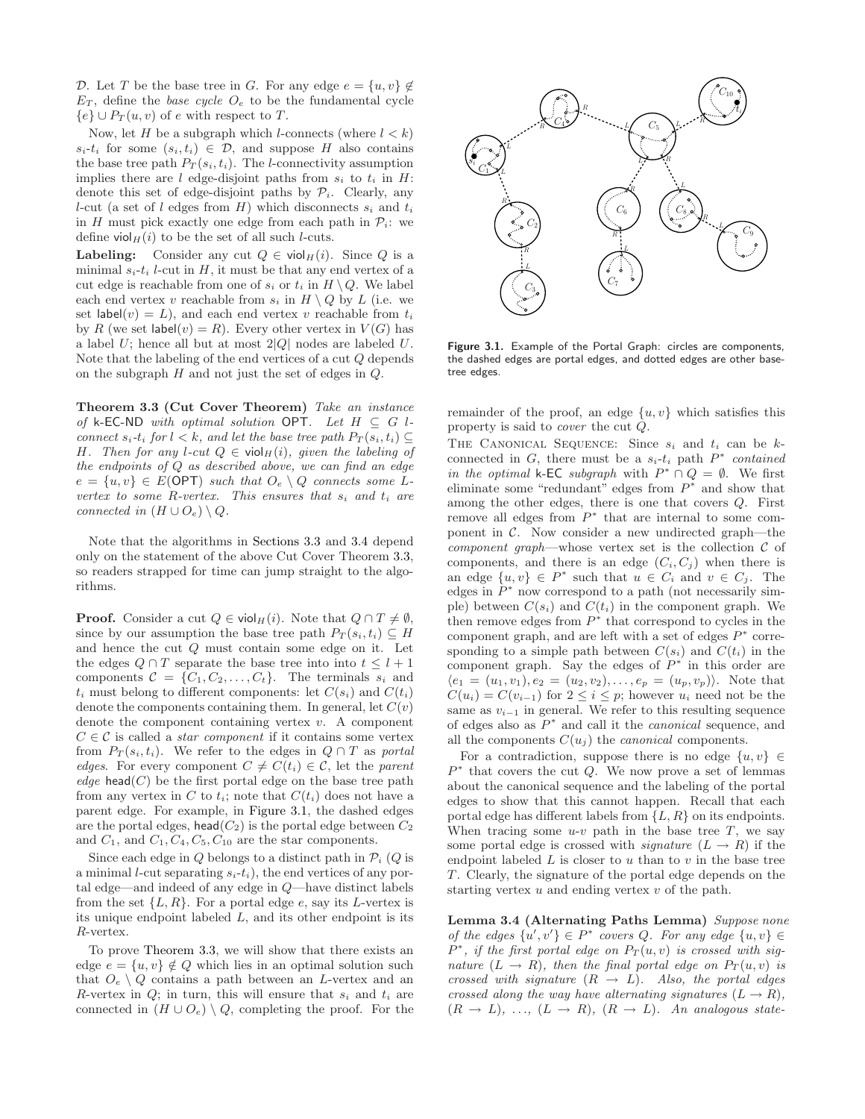D. Let T be the base tree in G. For any edge  $e = \{u, v\} \notin$  $E_T$ , define the *base cycle*  $O_e$  to be the fundamental cycle  ${e} \cup P_T(u, v)$  of e with respect to T.

Now, let H be a subgraph which l-connects (where  $l < k$ )  $s_i-t_i$  for some  $(s_i, t_i) \in \mathcal{D}$ , and suppose H also contains the base tree path  $P_T(s_i, t_i)$ . The *l*-connectivity assumption implies there are  $l$  edge-disjoint paths from  $s_i$  to  $t_i$  in  $H$ : denote this set of edge-disjoint paths by  $\mathcal{P}_i$ . Clearly, any l-cut (a set of l edges from H) which disconnects  $s_i$  and  $t_i$ in H must pick exactly one edge from each path in  $P_i$ : we define viol $_H(i)$  to be the set of all such *l*-cuts.

**Labeling:** Consider any cut  $Q \in \text{viol}_{H}(i)$ . Since Q is a minimal  $s_i-t_i$  l-cut in H, it must be that any end vertex of a cut edge is reachable from one of  $s_i$  or  $t_i$  in  $H \setminus Q$ . We label each end vertex v reachable from  $s_i$  in  $H \setminus Q$  by L (i.e. we set label $(v) = L$ , and each end vertex v reachable from  $t_i$ by R (we set  $\textsf{label}(v) = R$ ). Every other vertex in  $V(G)$  has a label  $U$ ; hence all but at most  $2|Q|$  nodes are labeled  $U$ . Note that the labeling of the end vertices of a cut Q depends on the subgraph  $H$  and not just the set of edges in  $Q$ .

Theorem 3.3 (Cut Cover Theorem) Take an instance of k-EC-ND with optimal solution OPT. Let  $H \subseteq G$  lconnect  $s_i$ -t<sub>i</sub> for  $l < k$ , and let the base tree path  $P_T(s_i, t_i) \subseteq$ H. Then for any l-cut  $Q \in \text{viol}_H(i)$ , given the labeling of the endpoints of Q as described above, we can find an edge  $e = \{u, v\} \in E(\text{OPT})$  such that  $O_e \setminus Q$  connects some Lvertex to some R-vertex. This ensures that  $s_i$  and  $t_i$  are connected in  $(H \cup O_e) \setminus Q$ .

Note that the algorithms in Sections 3.3 and 3.4 depend only on the statement of the above Cut Cover Theorem 3.3, so readers strapped for time can jump straight to the algorithms.

**Proof.** Consider a cut  $Q \in \text{viol}_{H}(i)$ . Note that  $Q \cap T \neq \emptyset$ , since by our assumption the base tree path  $P_T(s_i, t_i) \subseteq H$ and hence the cut Q must contain some edge on it. Let the edges  $Q \cap T$  separate the base tree into into  $t \leq l+1$ components  $C = \{C_1, C_2, \ldots, C_t\}$ . The terminals  $s_i$  and  $t_i$  must belong to different components: let  $C(s_i)$  and  $C(t_i)$ denote the components containing them. In general, let  $C(v)$ denote the component containing vertex  $v$ . A component  $C \in \mathcal{C}$  is called a *star component* if it contains some vertex from  $P_T(s_i, t_i)$ . We refer to the edges in  $Q \cap T$  as portal edges. For every component  $C \neq C(t_i) \in \mathcal{C}$ , let the parent edge head $(C)$  be the first portal edge on the base tree path from any vertex in C to  $t_i$ ; note that  $C(t_i)$  does not have a parent edge. For example, in Figure 3.1, the dashed edges are the portal edges,  $\mathsf{head}(C_2)$  is the portal edge between  $C_2$ and  $C_1$ , and  $C_1$ ,  $C_4$ ,  $C_5$ ,  $C_{10}$  are the star components.

Since each edge in  $Q$  belongs to a distinct path in  $\mathcal{P}_i$  ( $Q$  is a minimal *l*-cut separating  $s_i-t_i$ , the end vertices of any portal edge—and indeed of any edge in Q—have distinct labels from the set  $\{L, R\}$ . For a portal edge e, say its L-vertex is its unique endpoint labeled  $L$ , and its other endpoint is its R-vertex.

To prove Theorem 3.3, we will show that there exists an edge  $e = \{u, v\} \notin Q$  which lies in an optimal solution such that  $O_e \setminus Q$  contains a path between an L-vertex and an R-vertex in  $Q$ ; in turn, this will ensure that  $s_i$  and  $t_i$  are connected in  $(H \cup O_e) \setminus Q$ , completing the proof. For the



Figure 3.1. Example of the Portal Graph: circles are components, the dashed edges are portal edges, and dotted edges are other basetree edges.

remainder of the proof, an edge  $\{u, v\}$  which satisfies this property is said to cover the cut Q.

THE CANONICAL SEQUENCE: Since  $s_i$  and  $t_i$  can be  $k$ connected in  $G$ , there must be a  $s_i-t_i$  path  $P^*$  contained in the optimal k-EC subgraph with  $P^* \cap Q = \emptyset$ . We first eliminate some "redundant" edges from  $P^*$  and show that among the other edges, there is one that covers Q. First remove all edges from  $P^*$  that are internal to some component in  $\mathcal{C}$ . Now consider a new undirected graph—the component graph—whose vertex set is the collection  $\mathcal C$  of components, and there is an edge  $(C_i, C_j)$  when there is an edge  $\{u, v\} \in P^*$  such that  $u \in C_i$  and  $v \in C_j$ . The edges in  $P^*$  now correspond to a path (not necessarily simple) between  $C(s_i)$  and  $C(t_i)$  in the component graph. We then remove edges from  $P^*$  that correspond to cycles in the component graph, and are left with a set of edges  $P^*$  corresponding to a simple path between  $C(s_i)$  and  $C(t_i)$  in the component graph. Say the edges of  $P^*$  in this order are  $\langle e_1 = (u_1, v_1), e_2 = (u_2, v_2), \ldots, e_p = (u_p, v_p) \rangle$ . Note that  $C(u_i) = C(v_{i-1})$  for  $2 \leq i \leq p$ ; however  $u_i$  need not be the same as  $v_{i-1}$  in general. We refer to this resulting sequence of edges also as  $P^*$  and call it the *canonical* sequence, and all the components  $C(u_j)$  the *canonical* components.

For a contradiction, suppose there is no edge  $\{u, v\} \in$  $P^*$  that covers the cut  $Q$ . We now prove a set of lemmas about the canonical sequence and the labeling of the portal edges to show that this cannot happen. Recall that each portal edge has different labels from  $\{L, R\}$  on its endpoints. When tracing some  $u-v$  path in the base tree T, we say some portal edge is crossed with *signature*  $(L \rightarrow R)$  if the endpoint labeled  $L$  is closer to  $u$  than to  $v$  in the base tree T. Clearly, the signature of the portal edge depends on the starting vertex  $u$  and ending vertex  $v$  of the path.

Lemma 3.4 (Alternating Paths Lemma) Suppose none of the edges  $\{u', v'\} \in P^*$  covers Q. For any edge  $\{u, v\} \in$  $P^*$ , if the first portal edge on  $P_T(u, v)$  is crossed with signature  $(L \rightarrow R)$ , then the final portal edge on  $P_T(u, v)$  is crossed with signature  $(R \rightarrow L)$ . Also, the portal edges crossed along the way have alternating signatures  $(L \rightarrow R)$ ,  $(R \rightarrow L), \ldots, (L \rightarrow R), (R \rightarrow L).$  An analogous state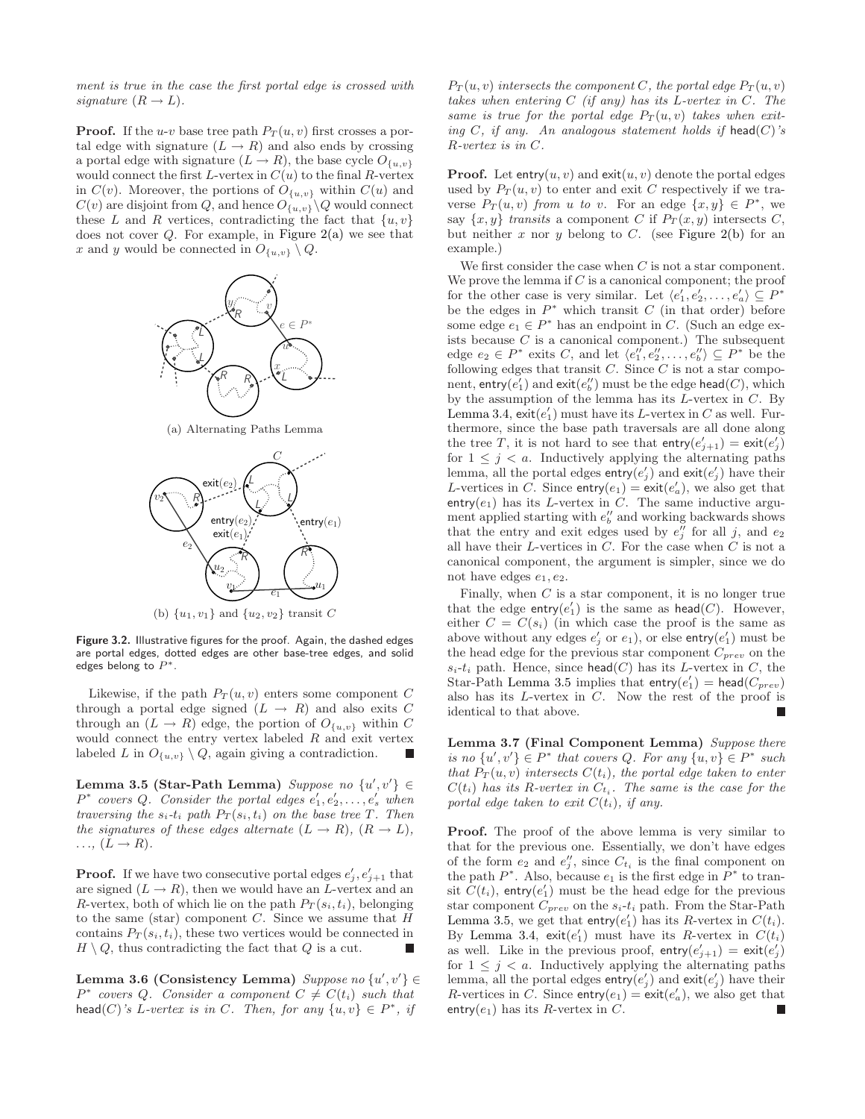ment is true in the case the first portal edge is crossed with signature  $(R \rightarrow L)$ .

**Proof.** If the u-v base tree path  $P_T(u, v)$  first crosses a portal edge with signature  $(L \rightarrow R)$  and also ends by crossing a portal edge with signature  $(L \to R)$ , the base cycle  $O_{\{u,v\}}$ would connect the first L-vertex in  $C(u)$  to the final R-vertex in  $C(v)$ . Moreover, the portions of  $O_{\{u,v\}}$  within  $C(u)$  and  $C(v)$  are disjoint from Q, and hence  $O_{\{u,v\}}\backslash Q$  would connect these L and R vertices, contradicting the fact that  $\{u, v\}$ does not cover  $Q$ . For example, in Figure  $2(a)$  we see that x and y would be connected in  $O_{\{u,v\}} \setminus Q$ .





Figure 3.2. Illustrative figures for the proof. Again, the dashed edges are portal edges, dotted edges are other base-tree edges, and solid edges belong to  $P^*$ .

Likewise, if the path  $P_T(u, v)$  enters some component C through a portal edge signed  $(L \rightarrow R)$  and also exits C through an  $(L \to R)$  edge, the portion of  $O_{\{u,v\}}$  within C would connect the entry vertex labeled  $R$  and exit vertex labeled L in  $O_{\{u,v\}} \setminus Q$ , again giving a contradiction.

Lemma 3.5 (Star-Path Lemma) Suppose no  $\{u', v'\} \in$  $P^*$  covers Q. Consider the portal edges  $e'_1, e'_2, \ldots, e'_s$  when traversing the  $s_i$ -t<sub>i</sub> path  $P_T(s_i, t_i)$  on the base tree T. Then the signatures of these edges alternate  $(L \rightarrow R)$ ,  $(R \rightarrow L)$ ,  $\ldots$ ,  $(L \rightarrow R)$ .

**Proof.** If we have two consecutive portal edges  $e'_{j}, e'_{j+1}$  that are signed  $(L \rightarrow R)$ , then we would have an L-vertex and an R-vertex, both of which lie on the path  $P_T(s_i, t_i)$ , belonging to the same (star) component  $C$ . Since we assume that  $H$ contains  $P_T(s_i, t_i)$ , these two vertices would be connected in  $H \setminus Q$ , thus contradicting the fact that Q is a cut.

Lemma 3.6 (Consistency Lemma)  $Suppose\ no\ \{u',v'\}\in$  $P^*$  covers Q. Consider a component  $C \neq C(t_i)$  such that head(C)'s L-vertex is in C. Then, for any  $\{u, v\} \in P^*$ , if

 $P_T(u, v)$  intersects the component C, the portal edge  $P_T(u, v)$ takes when entering  $C$  (if any) has its L-vertex in  $C$ . The same is true for the portal edge  $P_T(u, v)$  takes when exiting C, if any. An analogous statement holds if head(C)'s R-vertex is in C.

**Proof.** Let entry $(u, v)$  and exit $(u, v)$  denote the portal edges used by  $P_T(u, v)$  to enter and exit C respectively if we traverse  $P_T(u, v)$  from u to v. For an edge  $\{x, y\} \in P^*$ , we say  $\{x, y\}$  transits a component C if  $P_T(x, y)$  intersects C, but neither x nor y belong to C. (see Figure 2(b) for an example.)

We first consider the case when  $C$  is not a star component. We prove the lemma if  $C$  is a canonical component; the proof for the other case is very similar. Let  $\langle e'_1, e'_2, \ldots, e'_a \rangle \subseteq P^*$ be the edges in  $P^*$  which transit  $C$  (in that order) before some edge  $e_1 \in P^*$  has an endpoint in C. (Such an edge exists because  $C$  is a canonical component.) The subsequent edge  $e_2 \in P^*$  exits C, and let  $\langle e_1'', e_2'', \ldots, e_b'' \rangle \subseteq P^*$  be the following edges that transit  $C$ . Since  $C$  is not a star compo- $\operatorname{nent}, \operatorname{\textsf{entry}}(e'_1) \text{ and } \operatorname{\textsf{exit}}(e''_b) \text{ must be the edge } \operatorname{\textsf{head}}(C), \text{ which}$ by the assumption of the lemma has its  $L$ -vertex in  $C$ . By Lemma 3.4,  $\text{exit}(e'_1)$  must have its L-vertex in C as well. Furthermore, since the base path traversals are all done along the tree T, it is not hard to see that  $\text{entry}(e'_{j+1}) = \text{exit}(e'_{j})$ for  $1 \leq j \leq a$ . Inductively applying the alternating paths lemma, all the portal edges  $\mathsf{entry}(e'_j)$  and  $\mathsf{exit}(e'_j)$  have their L-vertices in C. Since  $\text{entry}(e_1) = \text{exit}(e'_a)$ , we also get that entry( $e_1$ ) has its L-vertex in C. The same inductive argument applied starting with  $e''_b$  and working backwards shows that the entry and exit edges used by  $e''_j$  for all j, and  $e_2$ all have their  $L$ -vertices in  $C$ . For the case when  $C$  is not a canonical component, the argument is simpler, since we do not have edges  $e_1, e_2$ .

Finally, when  $C$  is a star component, it is no longer true that the edge  $\mathsf{entry}(e_1')$  is the same as  $\mathsf{head}(C)$ . However, either  $C = C(s_i)$  (in which case the proof is the same as above without any edges  $e'_{j}$  or  $e_{1}$ ), or else entry $(e'_{1})$  must be the head edge for the previous star component  $C_{prev}$  on the  $s_i-t_i$  path. Hence, since head(C) has its L-vertex in C, the Star-Path Lemma 3.5 implies that  $\mathsf{entry}(e_1') = \mathsf{head}(C_{prev})$ also has its  $L$ -vertex in  $C$ . Now the rest of the proof is identical to that above.

Lemma 3.7 (Final Component Lemma) Suppose there is no  $\{u', v'\} \in P^*$  that covers Q. For any  $\{u, v\} \in P^*$  such that  $P_T(u, v)$  intersects  $C(t_i)$ , the portal edge taken to enter  $C(t_i)$  has its R-vertex in  $C_{t_i}$ . The same is the case for the portal edge taken to exit  $C(t_i)$ , if any.

Proof. The proof of the above lemma is very similar to that for the previous one. Essentially, we don't have edges of the form  $e_2$  and  $e''_j$ , since  $C_{t_i}$  is the final component on the path  $P^*$ . Also, because  $e_1$  is the first edge in  $P^*$  to transit  $C(t_i)$ , entry $(e'_1)$  must be the head edge for the previous star component  $C_{prev}$  on the  $s_i-t_i$  path. From the Star-Path Lemma 3.5, we get that entry $(e'_1)$  has its R-vertex in  $C(t_i)$ . By Lemma 3.4,  $\text{exit}(e'_1)$  must have its R-vertex in  $C(t_i)$ as well. Like in the previous proof,  $\text{entry}(e'_{j+1}) = \text{exit}(e'_{j})$ for  $1 \leq j \leq a$ . Inductively applying the alternating paths lemma, all the portal edges  $\textsf{entry}(e'_j)$  and  $\textsf{exit}(e'_j)$  have their R-vertices in C. Since  $\text{entry}(e_1) = \text{exit}(e'_a)$ , we also get that entry( $e_1$ ) has its R-vertex in C.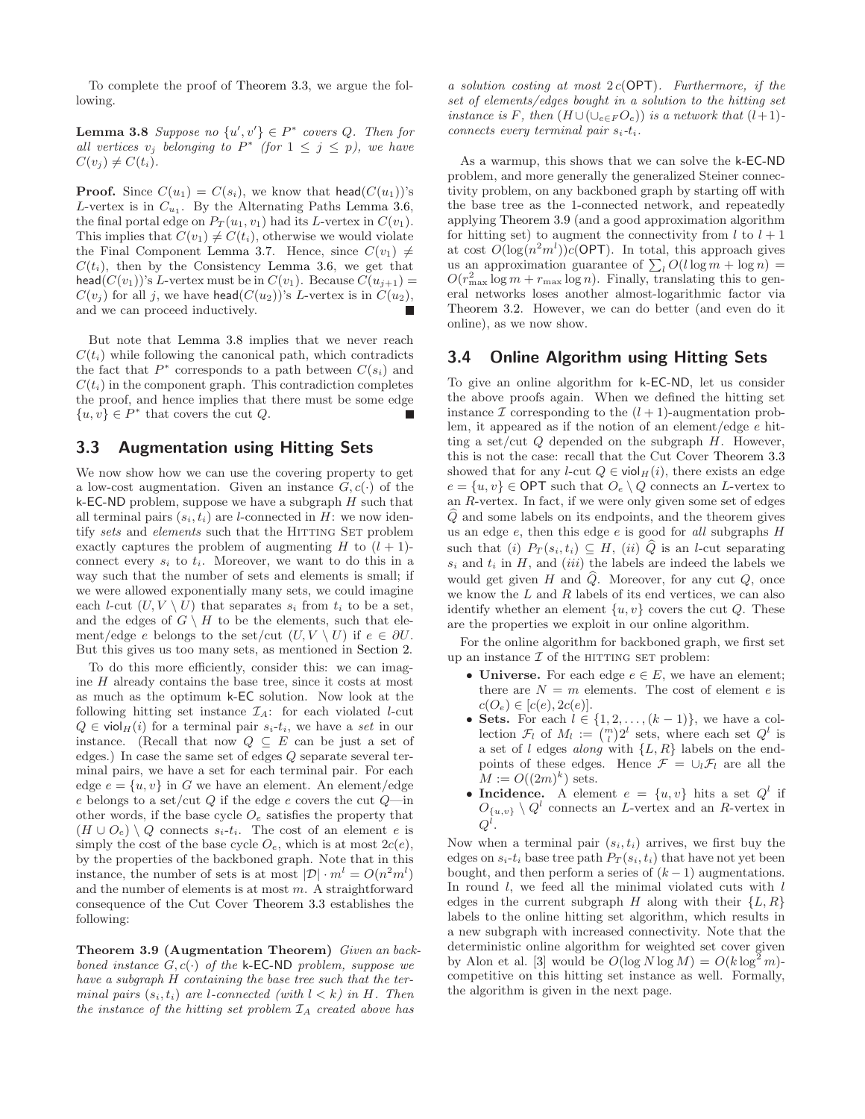To complete the proof of Theorem 3.3, we argue the following.

**Lemma 3.8** Suppose no  $\{u', v'\} \in P^*$  covers Q. Then for all vertices  $v_j$  belonging to  $P^*$  (for  $1 \leq j \leq p$ ), we have  $C(v_j) \neq C(t_i)$ .

**Proof.** Since  $C(u_1) = C(s_i)$ , we know that head( $C(u_1)$ )'s L-vertex is in  $C_{u_1}$ . By the Alternating Paths Lemma 3.6, the final portal edge on  $P_T(u_1, v_1)$  had its L-vertex in  $C(v_1)$ . This implies that  $C(v_1) \neq C(t_i)$ , otherwise we would violate the Final Component Lemma 3.7. Hence, since  $C(v_1) \neq$  $C(t_i)$ , then by the Consistency Lemma 3.6, we get that head( $C(v_1)$ )'s L-vertex must be in  $C(v_1)$ . Because  $C(u_{j+1}) =$  $C(v_j)$  for all j, we have head( $C(u_2)$ )'s L-vertex is in  $C(u_2)$ , and we can proceed inductively.

But note that Lemma 3.8 implies that we never reach  $C(t_i)$  while following the canonical path, which contradicts the fact that  $P^*$  corresponds to a path between  $C(s_i)$  and  $C(t_i)$  in the component graph. This contradiction completes the proof, and hence implies that there must be some edge  $\{u, v\} \in P^*$  that covers the cut  $Q$ .

#### 3.3 Augmentation using Hitting Sets

We now show how we can use the covering property to get a low-cost augmentation. Given an instance  $G, c(\cdot)$  of the k-EC-ND problem, suppose we have a subgraph  $H$  such that all terminal pairs  $(s_i, t_i)$  are *l*-connected in *H*: we now identify sets and elements such that the HITTING SET problem exactly captures the problem of augmenting H to  $(l + 1)$ connect every  $s_i$  to  $t_i$ . Moreover, we want to do this in a way such that the number of sets and elements is small; if we were allowed exponentially many sets, we could imagine each *l*-cut  $(U, V \setminus U)$  that separates  $s_i$  from  $t_i$  to be a set, and the edges of  $G \setminus H$  to be the elements, such that element/edge e belongs to the set/cut  $(U, V \setminus U)$  if  $e \in \partial U$ . But this gives us too many sets, as mentioned in Section 2.

To do this more efficiently, consider this: we can imagine H already contains the base tree, since it costs at most as much as the optimum k-EC solution. Now look at the following hitting set instance  $\mathcal{I}_A$ : for each violated *l*-cut  $Q \in \text{viol}_{H}(i)$  for a terminal pair  $s_i-t_i$ , we have a set in our instance. (Recall that now  $Q \subseteq E$  can be just a set of edges.) In case the same set of edges Q separate several terminal pairs, we have a set for each terminal pair. For each edge  $e = \{u, v\}$  in G we have an element. An element/edge e belongs to a set/cut  $Q$  if the edge  $e$  covers the cut  $Q$ —in other words, if the base cycle  $O_e$  satisfies the property that  $(H \cup O_e) \setminus Q$  connects  $s_i-t_i$ . The cost of an element e is simply the cost of the base cycle  $O_e$ , which is at most  $2c(e)$ , by the properties of the backboned graph. Note that in this instance, the number of sets is at most  $|\mathcal{D}| \cdot m^l = O(n^2m^l)$ and the number of elements is at most  $m$ . A straightforward consequence of the Cut Cover Theorem 3.3 establishes the following:

Theorem 3.9 (Augmentation Theorem) Given an backboned instance  $G, c(\cdot)$  of the k-EC-ND problem, suppose we have a subgraph H containing the base tree such that the terminal pairs  $(s_i, t_i)$  are l-connected (with  $l < k$ ) in H. Then the instance of the hitting set problem  $\mathcal{I}_A$  created above has

a solution costing at most  $2c(OPT)$ . Furthermore, if the set of elements/edges bought in a solution to the hitting set instance is F, then  $(H \cup (\cup_{e \in F} O_e))$  is a network that  $(l+1)$ connects every terminal pair  $s_i-t_i$ .

As a warmup, this shows that we can solve the k-EC-ND problem, and more generally the generalized Steiner connectivity problem, on any backboned graph by starting off with the base tree as the 1-connected network, and repeatedly applying Theorem 3.9 (and a good approximation algorithm for hitting set) to augment the connectivity from  $l$  to  $l + 1$ at cost  $\widehat{O}(\log(n^2m^l))\widehat{c}(\mathsf{OPT})$ . In total, this approach gives us an approximation guarantee of  $\sum_{l} O(l \log m + \log n)$  =  $O(r_{\text{max}}^2 \log m + r_{\text{max}} \log n)$ . Finally, translating this to general networks loses another almost-logarithmic factor via Theorem 3.2. However, we can do better (and even do it online), as we now show.

## 3.4 Online Algorithm using Hitting Sets

To give an online algorithm for k-EC-ND, let us consider the above proofs again. When we defined the hitting set instance  $\mathcal I$  corresponding to the  $(l + 1)$ -augmentation problem, it appeared as if the notion of an element/edge e hitting a set/cut  $Q$  depended on the subgraph  $H$ . However, this is not the case: recall that the Cut Cover Theorem 3.3 showed that for any l-cut  $Q \in \text{viol}_{H}(i)$ , there exists an edge  $e = \{u, v\} \in \text{OPT}$  such that  $O_e \setminus Q$  connects an *L*-vertex to an R-vertex. In fact, if we were only given some set of edges  $Q$  and some labels on its endpoints, and the theorem gives us an edge  $e$ , then this edge  $e$  is good for all subgraphs  $H$ such that (i)  $P_T(s_i, t_i) \subseteq H$ , (ii)  $\widehat{Q}$  is an l-cut separating  $s_i$  and  $t_i$  in H, and (iii) the labels are indeed the labels we would get given H and  $\widehat{Q}$ . Moreover, for any cut  $Q$ , once we know the  $L$  and  $R$  labels of its end vertices, we can also identify whether an element  $\{u, v\}$  covers the cut Q. These are the properties we exploit in our online algorithm.

For the online algorithm for backboned graph, we first set up an instance  $\mathcal I$  of the HITTING SET problem:

- Universe. For each edge  $e \in E$ , we have an element; there are  $N = m$  elements. The cost of element e is  $c(O_e) \in [c(e), 2c(e)].$
- Sets. For each  $l \in \{1, 2, \ldots, (k-1)\}\)$ , we have a collection  $\mathcal{F}_l$  of  $M_l := \binom{m}{l} 2^l$  sets, where each set  $Q^l$  is a set of l edges along with  $\{L, R\}$  labels on the endpoints of these edges. Hence  $\mathcal{F} = \cup_l \mathcal{F}_l$  are all the  $M := O((2m)^k)$  sets.
- Incidence. A element  $e = \{u, v\}$  hits a set  $Q^l$  if  $O_{\{u,v\}} \setminus Q^l$  connects an L-vertex and an R-vertex in  $Q^l.$

Now when a terminal pair  $(s_i, t_i)$  arrives, we first buy the edges on  $s_i-t_i$  base tree path  $P_T(s_i,t_i)$  that have not yet been bought, and then perform a series of  $(k-1)$  augmentations. In round  $l$ , we feed all the minimal violated cuts with  $l$ edges in the current subgraph H along with their  $\{L, R\}$ labels to the online hitting set algorithm, which results in a new subgraph with increased connectivity. Note that the deterministic online algorithm for weighted set cover given by Alon et al. [3] would be  $O(\log N \log M) = O(k \log^2 m)$ competitive on this hitting set instance as well. Formally, the algorithm is given in the next page.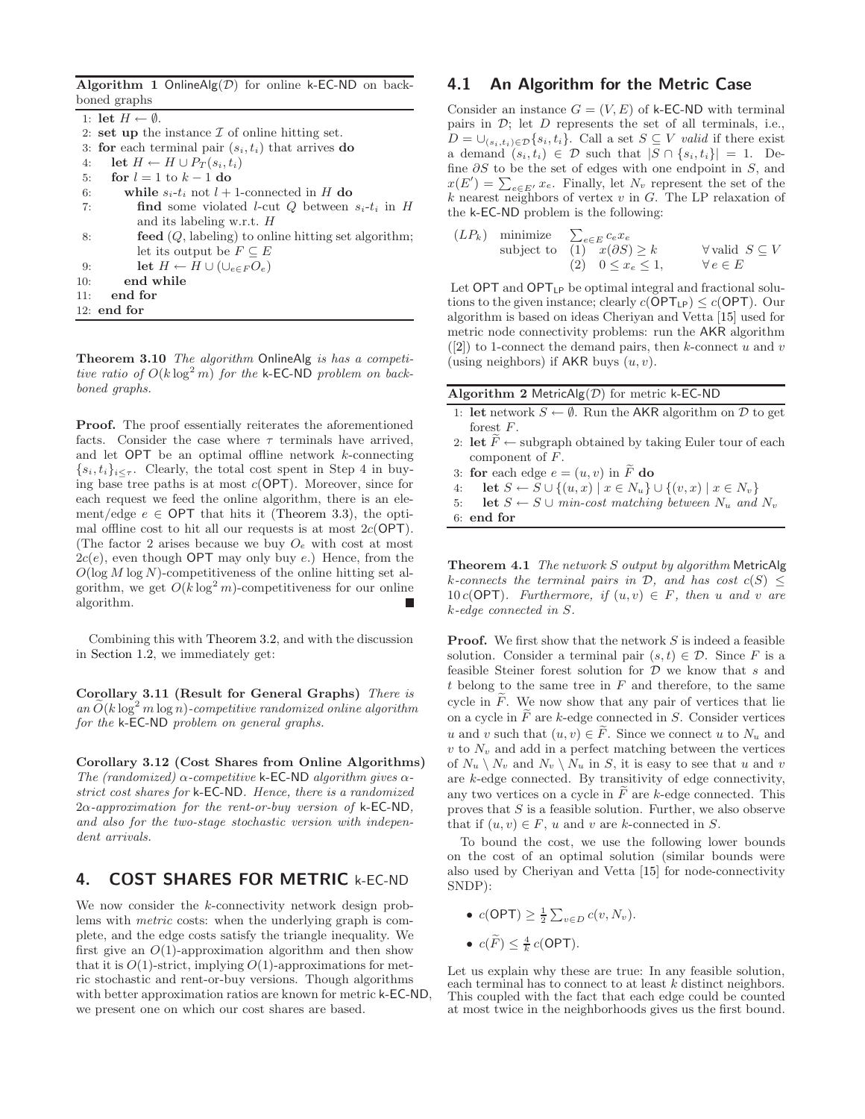Algorithm 1 OnlineAlg $(D)$  for online k-EC-ND on backboned graphs

1: let  $H \leftarrow \emptyset$ . 2: set up the instance  $\mathcal I$  of online hitting set. 3: for each terminal pair  $(s_i, t_i)$  that arrives do 4: let  $H \leftarrow H \cup P_T(s_i, t_i)$ 5: for  $l = 1$  to  $k - 1$  do 6: while  $s_i-t_i$  not  $l+1$ -connected in H do 7: **find** some violated *l*-cut *Q* between  $s_i$ - $t_i$  in *H* and its labeling w.r.t. H 8: **feed**  $(Q, \text{labeling})$  to online hitting set algorithm; let its output be  $F \subseteq E$ 9: let  $H \leftarrow H \cup (\cup_{e \in F} O_e)$ 10: end while 11: end for 12: end for

Theorem 3.10 The algorithm OnlineAlg is has a competitive ratio of  $O(k \log^2 m)$  for the k-EC-ND problem on backboned graphs.

Proof. The proof essentially reiterates the aforementioned facts. Consider the case where  $\tau$  terminals have arrived, and let  $OPT$  be an optimal offline network  $k$ -connecting  $\{s_i, t_i\}_{i\leq \tau}$ . Clearly, the total cost spent in Step 4 in buying base tree paths is at most  $c(OPT)$ . Moreover, since for each request we feed the online algorithm, there is an element/edge  $e \in \text{OPT}$  that hits it (Theorem 3.3), the optimal offline cost to hit all our requests is at most  $2c(OPT)$ . (The factor 2 arises because we buy  $O_e$  with cost at most  $2c(e)$ , even though OPT may only buy e.) Hence, from the  $O(\log M \log N)$ -competitiveness of the online hitting set algorithm, we get  $O(k \log^2 m)$ -competitiveness for our online algorithm.

Combining this with Theorem 3.2, and with the discussion in Section 1.2, we immediately get:

Corollary 3.11 (Result for General Graphs) There is an  $O(k \log^2 m \log n)$ -competitive randomized online algorithm for the k-EC-ND problem on general graphs.

Corollary 3.12 (Cost Shares from Online Algorithms) The (randomized)  $\alpha$ -competitive k-EC-ND algorithm gives  $\alpha$ strict cost shares for k-EC-ND. Hence, there is a randomized  $2\alpha$ -approximation for the rent-or-buy version of k-EC-ND, and also for the two-stage stochastic version with independent arrivals.

# 4. COST SHARES FOR METRIC k-EC-ND

We now consider the k-connectivity network design problems with metric costs: when the underlying graph is complete, and the edge costs satisfy the triangle inequality. We first give an  $O(1)$ -approximation algorithm and then show that it is  $O(1)$ -strict, implying  $O(1)$ -approximations for metric stochastic and rent-or-buy versions. Though algorithms with better approximation ratios are known for metric k-EC-ND, we present one on which our cost shares are based.

## 4.1 An Algorithm for the Metric Case

Consider an instance  $G = (V, E)$  of k-EC-ND with terminal pairs in  $\mathcal{D}$ ; let  $D$  represents the set of all terminals, i.e.,  $D = \bigcup_{(s_i, t_i) \in \mathcal{D}} \{s_i, t_i\}.$  Call a set  $S \subseteq V$  valid if there exist a demand  $(s_i, t_i) \in \mathcal{D}$  such that  $|S \cap \{s_i, t_i\}| = 1$ . Define  $\partial S$  to be the set of edges with one endpoint in S, and  $x(E') = \sum_{e \in E'} x_e$ . Finally, let  $N_v$  represent the set of the  $k$  nearest neighbors of vertex  $v$  in  $G$ . The LP relaxation of the k-EC-ND problem is the following:

$$
(LP_k) \quad \text{minimize} \quad \sum_{e \in E} c_e x_e
$$
\n
$$
\text{subject to} \quad (1) \quad x(\partial S) \ge k \qquad \forall \text{ valid } S \subseteq V
$$
\n
$$
(2) \quad 0 \le x_e \le 1, \qquad \forall e \in E
$$

Let  $OPT$  and  $OPT_{LP}$  be optimal integral and fractional solutions to the given instance; clearly  $c(\overline{OPT_{LP}}) \leq c(\overline{OPT})$ . Our algorithm is based on ideas Cheriyan and Vetta [15] used for metric node connectivity problems: run the AKR algorithm  $([2])$  to 1-connect the demand pairs, then k-connect u and v (using neighbors) if  $AKR$  buys  $(u, v)$ .

- 1: let network  $S \leftarrow \emptyset$ . Run the AKR algorithm on  $D$  to get forest F.
- 2: let  $\widetilde{F} \leftarrow$  subgraph obtained by taking Euler tour of each component of F.
- 3: for each edge  $e = (u, v)$  in  $\widetilde{F}$  do<br>4: let  $S \leftarrow S \cup \{(u, x) | x \in N_u\}$
- let  $S \leftarrow S \cup \{(u, x) \mid x \in N_u\} \cup \{(v, x) \mid x \in N_v\}$
- 5: let  $S \leftarrow S \cup min\text{-}cost matching between } N_u$  and  $N_v$

6: end for

Theorem 4.1 The network S output by algorithm MetricAlg k-connects the terminal pairs in  $D$ , and has cost  $c(S) \leq$ 10 c(OPT). Furthermore, if  $(u, v) \in F$ , then u and v are k-edge connected in S.

**Proof.** We first show that the network  $S$  is indeed a feasible solution. Consider a terminal pair  $(s, t) \in \mathcal{D}$ . Since F is a feasible Steiner forest solution for  $D$  we know that s and t belong to the same tree in  $F$  and therefore, to the same cycle in  $\tilde{F}$ . We now show that any pair of vertices that lie on a cycle in  $\widetilde{F}$  are k-edge connected in S. Consider vertices u and v such that  $(u, v) \in \overline{F}$ . Since we connect u to  $N_u$  and  $v$  to  $N_v$  and add in a perfect matching between the vertices of  $N_u \setminus N_v$  and  $N_v \setminus N_u$  in S, it is easy to see that u and v are k-edge connected. By transitivity of edge connectivity, any two vertices on a cycle in  $\overline{F}$  are k-edge connected. This proves that  $S$  is a feasible solution. Further, we also observe that if  $(u, v) \in F$ , u and v are k-connected in S.

To bound the cost, we use the following lower bounds on the cost of an optimal solution (similar bounds were also used by Cheriyan and Vetta [15] for node-connectivity SNDP):

- $c(\text{OPT}) \geq \frac{1}{2} \sum_{v \in D} c(v, N_v).$
- $c(F) \leq \frac{4}{k} c(OPT)$ .

Let us explain why these are true: In any feasible solution, each terminal has to connect to at least k distinct neighbors. This coupled with the fact that each edge could be counted at most twice in the neighborhoods gives us the first bound.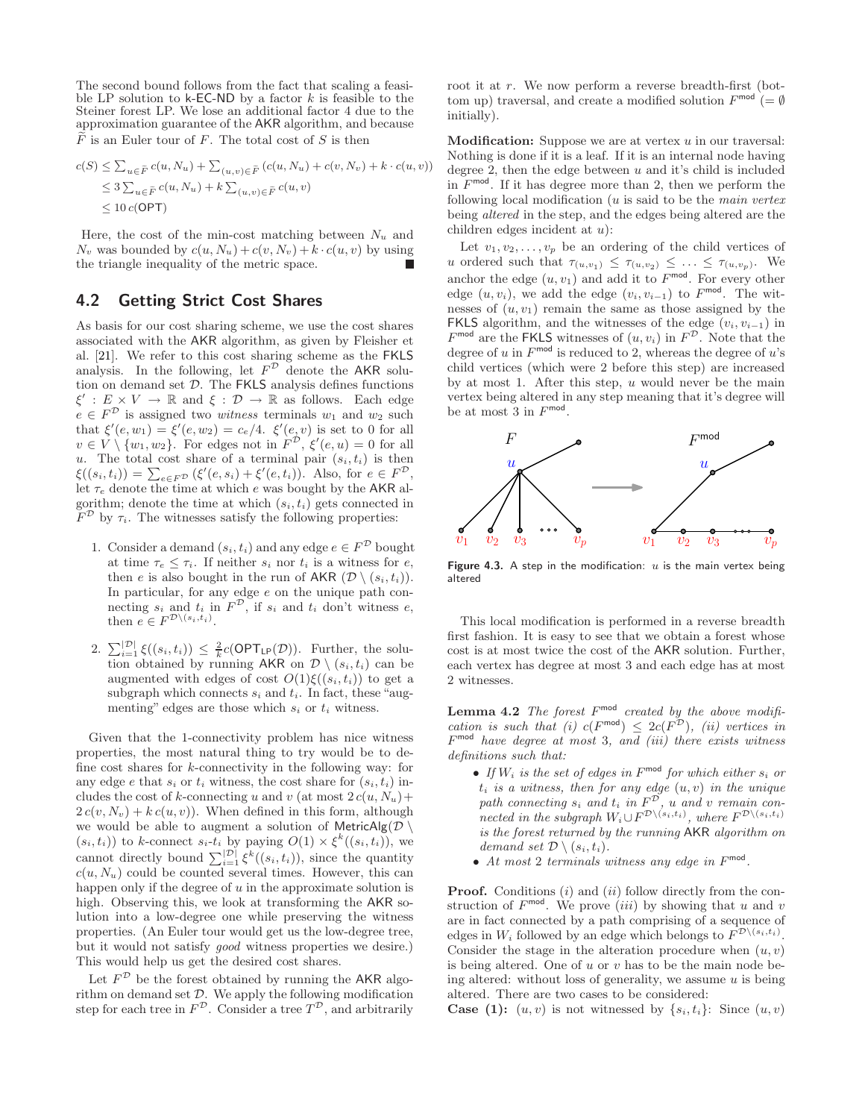The second bound follows from the fact that scaling a feasible LP solution to  $k$ -EC-ND by a factor k is feasible to the Steiner forest LP. We lose an additional factor 4 due to the approximation guarantee of the AKR algorithm, and because  $\widetilde{F}$  is an Euler tour of F. The total cost of S is then

$$
c(S) \leq \sum_{u \in \tilde{F}} c(u, N_u) + \sum_{(u, v) \in \tilde{F}} (c(u, N_u) + c(v, N_v) + k \cdot c(u, v))
$$
  
\n
$$
\leq 3 \sum_{u \in \tilde{F}} c(u, N_u) + k \sum_{(u, v) \in \tilde{F}} c(u, v)
$$
  
\n
$$
\leq 10 c(\text{OPT})
$$

Here, the cost of the min-cost matching between  $N_u$  and  $N_v$  was bounded by  $c(u, N_u) + c(v, N_v) + k \cdot c(u, v)$  by using the triangle inequality of the metric space.

## 4.2 Getting Strict Cost Shares

As basis for our cost sharing scheme, we use the cost shares associated with the AKR algorithm, as given by Fleisher et al. [21]. We refer to this cost sharing scheme as the FKLS analysis. In the following, let  $F^{\mathcal{D}}$  denote the AKR solution on demand set  $D$ . The FKLS analysis defines functions  $\xi': E \times V \to \mathbb{R}$  and  $\xi: \mathcal{D} \to \mathbb{R}$  as follows. Each edge  $e \in F^{\mathcal{D}}$  is assigned two *witness* terminals  $w_1$  and  $w_2$  such that  $\xi'(e, w_1) = \xi'(e, w_2) = c_e/4$ .  $\xi'(e, v)$  is set to 0 for all  $v \in V \setminus \{w_1, w_2\}.$  For edges not in  $F^{\mathcal{D}}, \xi'(e, u) = 0$  for all u. The total cost share of a terminal pair  $(s_i, t_i)$  is then  $\xi((s_i,t_i)) = \sum_{e \in F^{\mathcal{D}}} (\xi'(e,s_i) + \xi'(e,t_i)).$  Also, for  $e \in F^{\mathcal{D}}$ , let  $\tau_e$  denote the time at which e was bought by the AKR algorithm; denote the time at which  $(s_i, t_i)$  gets connected in  $F^{\mathcal{D}}$  by  $\tau_i$ . The witnesses satisfy the following properties:

- 1. Consider a demand  $(s_i, t_i)$  and any edge  $e \in F^{\mathcal{D}}$  bought at time  $\tau_e \leq \tau_i$ . If neither  $s_i$  nor  $t_i$  is a witness for  $e$ , then e is also bought in the run of AKR  $(\mathcal{D} \setminus (s_i, t_i)).$ In particular, for any edge e on the unique path connecting  $s_i$  and  $t_i$  in  $F^{\mathcal{D}}$ , if  $s_i$  and  $t_i$  don't witness  $e$ , then  $e \in F^{\mathcal{D}\setminus (s_i,t_i)}$ .
- 2.  $\sum_{i=1}^{|\mathcal{D}|} \xi((s_i, t_i)) \leq \frac{2}{k} c(\mathsf{OPT}_{\mathsf{LP}}(\mathcal{D}))$ . Further, the solution obtained by running AKR on  $\mathcal{D} \setminus (s_i, t_i)$  can be augmented with edges of cost  $O(1)\xi((s_i,t_i))$  to get a subgraph which connects  $s_i$  and  $t_i$ . In fact, these "augmenting" edges are those which  $s_i$  or  $t_i$  witness.

Given that the 1-connectivity problem has nice witness properties, the most natural thing to try would be to define cost shares for  $k$ -connectivity in the following way: for any edge e that  $s_i$  or  $t_i$  witness, the cost share for  $(s_i, t_i)$  includes the cost of k-connecting u and v (at most  $2c(u, N_u)$  +  $2c(v, N_v) + kc(u, v)$ . When defined in this form, although we would be able to augment a solution of MetricAlg( $\mathcal{D} \setminus$  $(s_i, t_i)$ ) to k-connect  $s_i$ - $t_i$  by paying  $O(1) \times \xi^k((s_i, t_i))$ , we cannot directly bound  $\sum_{i=1}^{|\mathcal{D}|} \xi^k((s_i, t_i))$ , since the quantity  $c(u, N_u)$  could be counted several times. However, this can happen only if the degree of  $u$  in the approximate solution is high. Observing this, we look at transforming the AKR solution into a low-degree one while preserving the witness properties. (An Euler tour would get us the low-degree tree, but it would not satisfy good witness properties we desire.) This would help us get the desired cost shares.

Let  $F^{\mathcal{D}}$  be the forest obtained by running the AKR algorithm on demand set D. We apply the following modification step for each tree in  $F^{\mathcal{D}}$ . Consider a tree  $T^{\mathcal{D}}$ , and arbitrarily root it at r. We now perform a reverse breadth-first (bottom up) traversal, and create a modified solution  $F^{\text{mod}}$  (=  $\emptyset$ ) initially).

**Modification:** Suppose we are at vertex  $u$  in our traversal: Nothing is done if it is a leaf. If it is an internal node having degree 2, then the edge between  $u$  and it's child is included in  $F^{\text{mod}}$ . If it has degree more than 2, then we perform the following local modification  $(u$  is said to be the main vertex being altered in the step, and the edges being altered are the children edges incident at u):

Let  $v_1, v_2, \ldots, v_p$  be an ordering of the child vertices of u ordered such that  $\tau_{(u,v_1)} \leq \tau_{(u,v_2)} \leq \ldots \leq \tau_{(u,v_p)}$ . We anchor the edge  $(u, v_1)$  and add it to  $F^{\text{mod}}$ . For every other edge  $(u, v_i)$ , we add the edge  $(v_i, v_{i-1})$  to  $F^{\text{mod}}$ . The witnesses of  $(u, v_1)$  remain the same as those assigned by the FKLS algorithm, and the witnesses of the edge  $(v_i, v_{i-1})$  in  $F^{\text{mod}}$  are the FKLS witnesses of  $(u, v_i)$  in  $F^{\mathcal{D}}$ . Note that the degree of u in  $F^{\text{mod}}$  is reduced to 2, whereas the degree of u's child vertices (which were 2 before this step) are increased by at most 1. After this step,  $u$  would never be the main vertex being altered in any step meaning that it's degree will be at most 3 in  $F^{\text{mod}}$ .



Figure 4.3. A step in the modification:  $u$  is the main vertex being altered

This local modification is performed in a reverse breadth first fashion. It is easy to see that we obtain a forest whose cost is at most twice the cost of the AKR solution. Further, each vertex has degree at most 3 and each edge has at most 2 witnesses.

**Lemma 4.2** The forest  $F^{\text{mod}}$  created by the above modification is such that (i)  $c(F^{mod}) \leq 2c(F^{\mathcal{D}})$ , (ii) vertices in  $F<sup>mod</sup>$  have degree at most 3, and (iii) there exists witness definitions such that:

- If  $W_i$  is the set of edges in  $F^{\text{mod}}$  for which either  $s_i$  or  $t_i$  is a witness, then for any edge  $(u, v)$  in the unique path connecting  $s_i$  and  $t_i$  in  $F^{\mathcal{D}}$ , u and v remain connected in the subgraph  $W_i \cup F^{\mathcal{D}\setminus (s_i,t_i)}$ , where  $F^{\mathcal{D}\setminus (s_i,t_i)}$ is the forest returned by the running AKR algorithm on demand set  $\mathcal{D} \setminus (s_i, t_i)$ .
- At most 2 terminals witness any edge in  $F^{\text{mod}}$ .

**Proof.** Conditions  $(i)$  and  $(ii)$  follow directly from the construction of  $F^{\text{mod}}$ . We prove *(iii)* by showing that u and v are in fact connected by a path comprising of a sequence of edges in  $W_i$  followed by an edge which belongs to  $F^{\mathcal{D}\setminus (s_i,t_i)}$ . Consider the stage in the alteration procedure when  $(u, v)$ is being altered. One of  $u$  or  $v$  has to be the main node being altered: without loss of generality, we assume  $u$  is being altered. There are two cases to be considered:

**Case (1):**  $(u, v)$  is not witnessed by  $\{s_i, t_i\}$ : Since  $(u, v)$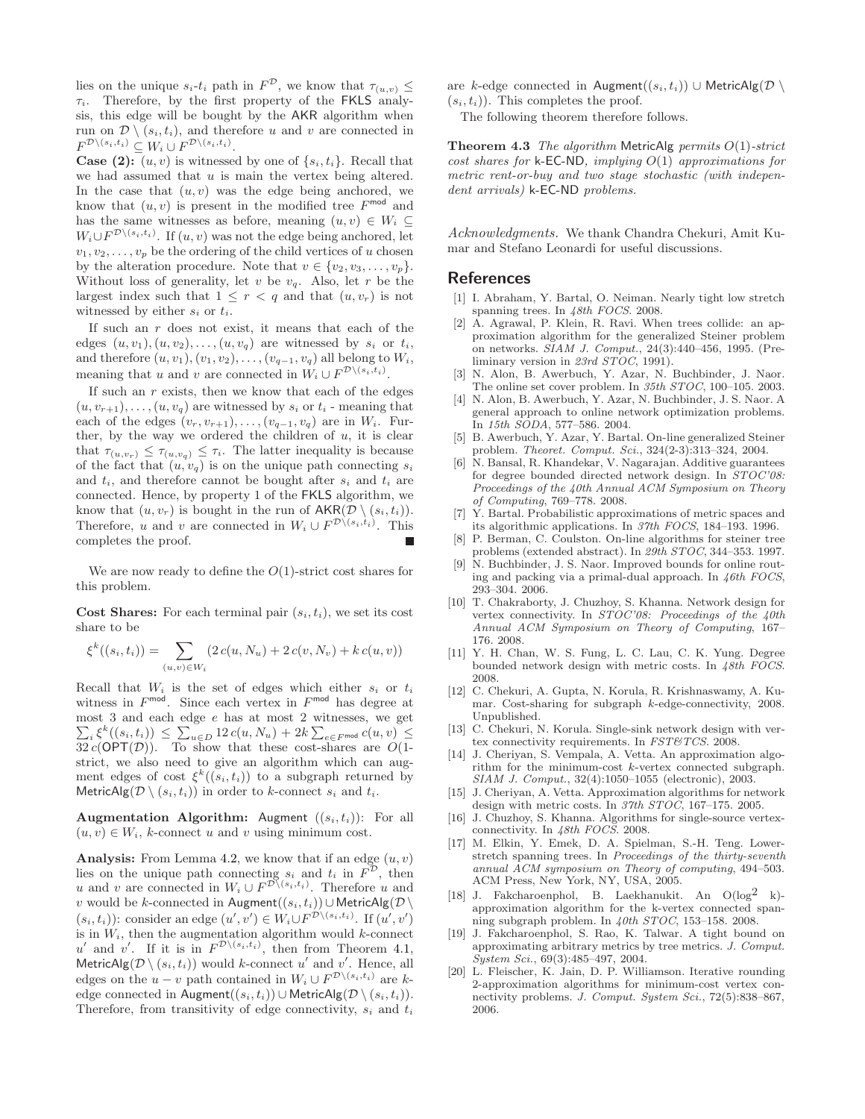lies on the unique  $s_i$ -t<sub>i</sub> path in  $F^{\mathcal{D}}$ , we know that  $\tau_{(u,v)} \leq$  $\tau_i$ . Therefore, by the first property of the FKLS analysis, this edge will be bought by the AKR algorithm when run on  $\mathcal{D} \setminus (s_i, t_i)$ , and therefore u and v are connected in  $F^{\mathcal{D}\setminus (s_i,t_i)} \subseteq W_i \cup F^{\mathcal{D}\setminus (s_i,t_i)}.$ 

**Case (2):**  $(u, v)$  is witnessed by one of  $\{s_i, t_i\}$ . Recall that we had assumed that  $u$  is main the vertex being altered. In the case that  $(u, v)$  was the edge being anchored, we know that  $(u, v)$  is present in the modified tree  $F^{\text{mod}}$  and has the same witnesses as before, meaning  $(u, v) \in W_i \subseteq$  $W_i \cup F^{\mathcal{D}\setminus (s_i,t_i)}$ . If  $(u, v)$  was not the edge being anchored, let  $v_1, v_2, \ldots, v_p$  be the ordering of the child vertices of u chosen by the alteration procedure. Note that  $v \in \{v_2, v_3, \ldots, v_p\}.$ Without loss of generality, let  $v$  be  $v_q$ . Also, let  $r$  be the largest index such that  $1 \leq r < q$  and that  $(u, v_r)$  is not witnessed by either  $s_i$  or  $t_i$ .

If such an  $r$  does not exist, it means that each of the edges  $(u, v_1), (u, v_2), \ldots, (u, v_q)$  are witnessed by  $s_i$  or  $t_i$ , and therefore  $(u, v_1), (v_1, v_2), \ldots, (v_{q-1}, v_q)$  all belong to  $W_i$ , meaning that u and v are connected in  $W_i \cup F^{\mathcal{D}\setminus (s_i,t_i)}$ .

If such an  $r$  exists, then we know that each of the edges  $(u, v_{r+1}), \ldots, (u, v_q)$  are witnessed by  $s_i$  or  $t_i$  - meaning that each of the edges  $(v_r, v_{r+1}), \ldots, (v_{q-1}, v_q)$  are in  $W_i$ . Further, by the way we ordered the children of  $u$ , it is clear that  $\tau_{(u,v_r)} \leq \tau_{(u,v_q)} \leq \tau_i$ . The latter inequality is because of the fact that  $(u, v_q)$  is on the unique path connecting  $s_i$ and  $t_i$ , and therefore cannot be bought after  $s_i$  and  $t_i$  are connected. Hence, by property 1 of the FKLS algorithm, we know that  $(u, v_r)$  is bought in the run of  $AKR(\mathcal{D} \setminus (s_i, t_i)).$ Therefore, u and v are connected in  $W_i \cup F^{\mathcal{D}\setminus (s_i,t_i)}$ . This completes the proof.

We are now ready to define the  $O(1)$ -strict cost shares for this problem.

**Cost Shares:** For each terminal pair  $(s_i, t_i)$ , we set its cost share to be

$$
\xi^{k}((s_i, t_i)) = \sum_{(u,v) \in W_i} (2\,c(u, N_u) + 2\,c(v, N_v) + k\,c(u, v))
$$

Recall that  $W_i$  is the set of edges which either  $s_i$  or  $t_i$ witness in  $F^{\text{mod}}$ . Since each vertex in  $F^{\text{mod}}$  has degree at most  $3$  and each edge  $e$  has at most  $2$  witnesses, we get most 3 and each edge *e* has at most 2 witnesses, we get  $\sum_i \xi^k((s_i, t_i)) \leq \sum_{u \in D} 12 c(u, N_u) + 2k \sum_{e \in F^{mod}} c(u, v) \leq$  $32 c(OPT(D)).$  To show that these cost-shares are  $O(1$ strict, we also need to give an algorithm which can augment edges of cost  $\xi^k((s_i,t_i))$  to a subgraph returned by MetricAlg( $\mathcal{D} \setminus (s_i, t_i)$ ) in order to k-connect  $s_i$  and  $t_i$ .

**Augmentation Algorithm:** Augment  $((s_i, t_i))$ : For all  $(u, v) \in W_i$ , k-connect u and v using minimum cost.

Analysis: From Lemma 4.2, we know that if an edge  $(u, v)$ lies on the unique path connecting  $s_i$  and  $t_i$  in  $F^{\mathcal{D}}$ , then u and v are connected in  $W_i \cup F^{\mathcal{D}\setminus (s_i,t_i)}$ . Therefore u and v would be k-connected in Augment $((s_i, t_i))$ ∪ MetricAlg $(\mathcal{D} \setminus$  $(s_i, t_i)$ : consider an edge  $(u', v') \in W_i \cup F^{\mathcal{D}\setminus (s_i, t_i)}$ . If  $(u', v')$ is in  $W_i$ , then the augmentation algorithm would  $k$ -connect u' and v'. If it is in  $F^{\mathcal{D}\setminus(s_i,t_i)}$ , then from Theorem 4.1, MetricAlg( $\mathcal{D} \setminus (s_i, t_i)$ ) would k-connect u' and v'. Hence, all edges on the  $u - v$  path contained in  $W_i \cup F^{\mathcal{D}\setminus (s_i, t_i)}$  are kedge connected in Augment $((s_i, t_i))$  ∪ MetricAlg $(\mathcal{D} \setminus (s_i, t_i))$ . Therefore, from transitivity of edge connectivity,  $s_i$  and  $t_i$  are k-edge connected in Augment $((s_i, t_i))$  ∪ MetricAlg( $\mathcal{D}$ )  $(s_i, t_i)$ ). This completes the proof.

The following theorem therefore follows.

**Theorem 4.3** The algorithm MetricAlg permits  $O(1)$ -strict cost shares for  $k$ -EC-ND, implying  $O(1)$  approximations for metric rent-or-buy and two stage stochastic (with independent arrivals) k-EC-ND problems.

Acknowledgments. We thank Chandra Chekuri, Amit Kumar and Stefano Leonardi for useful discussions.

#### References

- [1] I. Abraham, Y. Bartal, O. Neiman. Nearly tight low stretch spanning trees. In  $48th$  FOCS. 2008.
- [2] A. Agrawal, P. Klein, R. Ravi. When trees collide: an approximation algorithm for the generalized Steiner problem on networks. SIAM J. Comput., 24(3):440–456, 1995. (Preliminary version in 23rd STOC, 1991).
- [3] N. Alon, B. Awerbuch, Y. Azar, N. Buchbinder, J. Naor. The online set cover problem. In 35th STOC, 100–105. 2003.
- [4] N. Alon, B. Awerbuch, Y. Azar, N. Buchbinder, J. S. Naor. A general approach to online network optimization problems. In 15th SODA, 577–586. 2004.
- [5] B. Awerbuch, Y. Azar, Y. Bartal. On-line generalized Steiner problem. Theoret. Comput. Sci., 324(2-3):313–324, 2004.
- [6] N. Bansal, R. Khandekar, V. Nagarajan. Additive guarantees for degree bounded directed network design. In STOC'08: Proceedings of the 40th Annual ACM Symposium on Theory of Computing, 769–778. 2008.
- [7] Y. Bartal. Probabilistic approximations of metric spaces and its algorithmic applications. In 37th FOCS, 184–193. 1996.
- [8] P. Berman, C. Coulston. On-line algorithms for steiner tree problems (extended abstract). In 29th STOC, 344–353. 1997.
- [9] N. Buchbinder, J. S. Naor. Improved bounds for online routing and packing via a primal-dual approach. In 46th FOCS, 293–304. 2006.
- [10] T. Chakraborty, J. Chuzhoy, S. Khanna. Network design for vertex connectivity. In STOC'08: Proceedings of the 40th Annual ACM Symposium on Theory of Computing, 167– 176. 2008.
- [11] Y. H. Chan, W. S. Fung, L. C. Lau, C. K. Yung. Degree bounded network design with metric costs. In 48th FOCS. 2008.
- [12] C. Chekuri, A. Gupta, N. Korula, R. Krishnaswamy, A. Kumar. Cost-sharing for subgraph k-edge-connectivity, 2008. Unpublished.
- [13] C. Chekuri, N. Korula. Single-sink network design with vertex connectivity requirements. In FST&TCS. 2008.
- [14] J. Cheriyan, S. Vempala, A. Vetta. An approximation algorithm for the minimum-cost k-vertex connected subgraph. SIAM J. Comput., 32(4):1050–1055 (electronic), 2003.
- [15] J. Cheriyan, A. Vetta. Approximation algorithms for network design with metric costs. In 37th STOC, 167–175. 2005.
- [16] J. Chuzhoy, S. Khanna. Algorithms for single-source vertexconnectivity. In 48th FOCS. 2008.
- [17] M. Elkin, Y. Emek, D. A. Spielman, S.-H. Teng. Lowerstretch spanning trees. In Proceedings of the thirty-seventh annual ACM symposium on Theory of computing, 494–503. ACM Press, New York, NY, USA, 2005.
- [18] J. Fakcharoenphol, B. Laekhanukit. An  $O(log^2 k)$ approximation algorithm for the k-vertex connected spanning subgraph problem. In 40th STOC, 153–158. 2008.
- [19] J. Fakcharoenphol, S. Rao, K. Talwar. A tight bound on approximating arbitrary metrics by tree metrics. J. Comput. System Sci., 69(3):485–497, 2004.
- [20] L. Fleischer, K. Jain, D. P. Williamson. Iterative rounding 2-approximation algorithms for minimum-cost vertex connectivity problems. J. Comput. System Sci., 72(5):838–867, 2006.